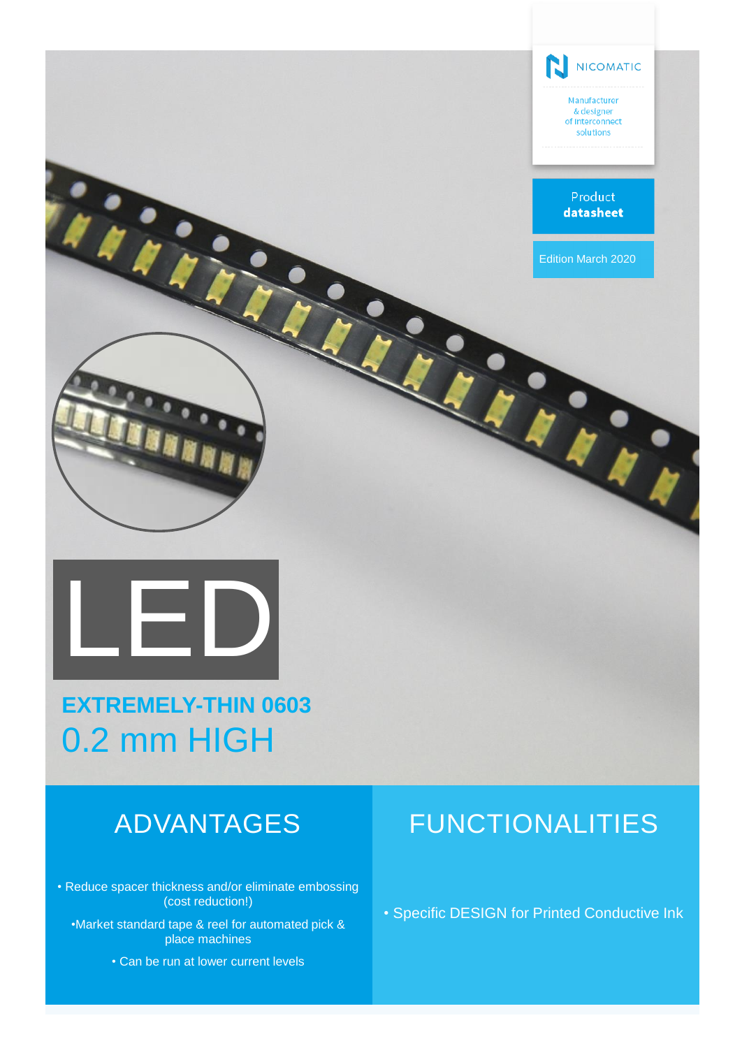

# **EXTREMELY-THIN 0603** 0.2 mm HIGH

• Reduce spacer thickness and/or eliminate embossing (cost reduction!)

•Market standard tape & reel for automated pick & place machines

• Can be run at lower current levels

## ADVANTAGES FUNCTIONALITIES

• Specific DESIGN for Printed Conductive Ink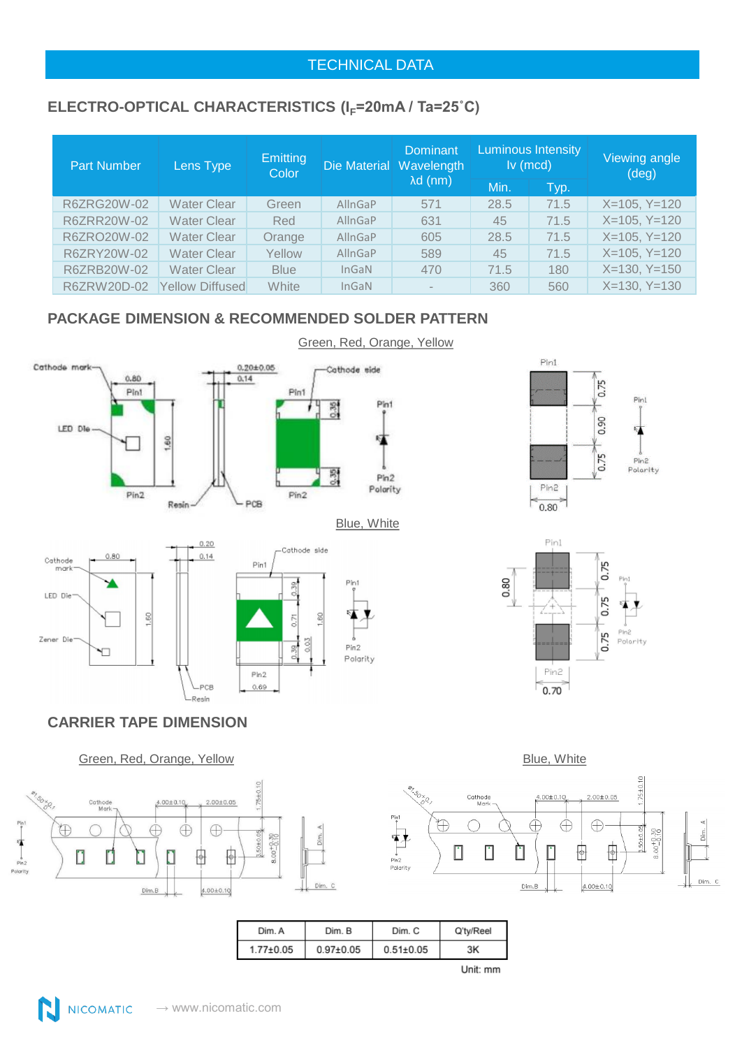#### TECHNICAL DATA

## ELECTRO-OPTICAL CHARACTERISTICS (I<sub>F</sub>=20mA / Ta=25°C)

| <b>Part Number</b> | Lens Type              | Emitting<br>Color |                | Dominant<br>Die Material Wavelength | <b>Luminous Intensity</b><br>$lv$ (mcd) |      | Viewing angle<br>$(\text{deg})$ |
|--------------------|------------------------|-------------------|----------------|-------------------------------------|-----------------------------------------|------|---------------------------------|
|                    |                        |                   |                | $\lambda$ d (nm)                    | Min.                                    | Typ. |                                 |
| R6ZRG20W-02        | Water Clear            | Green             | <b>AllnGaP</b> | 571                                 | 28.5                                    | 71.5 | $X=105, Y=120$                  |
| R6ZRR20W-02        | <b>Water Clear</b>     | Red               | AllnGaP        | 631                                 | 45                                      | 71.5 | $X=105, Y=120$                  |
| R6ZRO20W-02        | Water Clear            | Orange            | AllnGaP        | 605                                 | 28.5                                    | 71.5 | $X=105, Y=120$                  |
| R6ZRY20W-02        | Water Clear            | Yellow            | AllnGaP        | 589                                 | 45                                      | 71.5 | $X=105, Y=120$                  |
| R6ZRB20W-02        | Water Clear            | <b>Blue</b>       | InGAN          | 470                                 | 71.5                                    | 180  | $X=130, Y=150$                  |
| R6ZRW20D-02        | <b>Yellow Diffused</b> | White             | InGAN          | $\,$                                | 360                                     | 560  | $X=130, Y=130$                  |

### **PACKAGE DIMENSION & RECOMMENDED SOLDER PATTERN**



 $PCB$ 

-Resin

 $Pin2$  $0.69$ 





#### **CARRIER TAPE DIMENSION**







| Dim. A          | Dim. B          | Dim. C          | Q'ty/Reel |
|-----------------|-----------------|-----------------|-----------|
| $1.77 \pm 0.05$ | $0.97{\pm}0.05$ | $0.51 \pm 0.05$ | ЗK        |
|                 |                 |                 |           |

Polarity